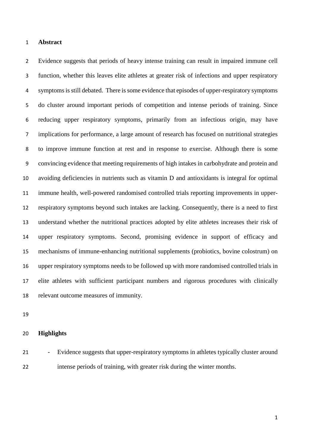### **Abstract**

 Evidence suggests that periods of heavy intense training can result in impaired immune cell function, whether this leaves elite athletes at greater risk of infections and upper respiratory symptoms is still debated. There is some evidence that episodes of upper-respiratory symptoms do cluster around important periods of competition and intense periods of training. Since reducing upper respiratory symptoms, primarily from an infectious origin, may have implications for performance, a large amount of research has focused on nutritional strategies to improve immune function at rest and in response to exercise. Although there is some convincing evidence that meeting requirements of high intakes in carbohydrate and protein and avoiding deficiencies in nutrients such as vitamin D and antioxidants is integral for optimal immune health, well-powered randomised controlled trials reporting improvements in upper- respiratory symptoms beyond such intakes are lacking. Consequently, there is a need to first understand whether the nutritional practices adopted by elite athletes increases their risk of upper respiratory symptoms. Second, promising evidence in support of efficacy and mechanisms of immune-enhancing nutritional supplements (probiotics, bovine colostrum) on upper respiratory symptoms needs to be followed up with more randomised controlled trials in elite athletes with sufficient participant numbers and rigorous procedures with clinically relevant outcome measures of immunity.

# **Highlights**

21 - Evidence suggests that upper-respiratory symptoms in athletes typically cluster around intense periods of training, with greater risk during the winter months.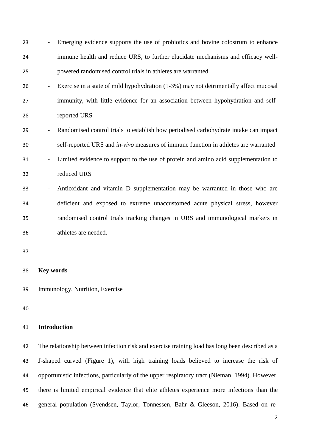- Emerging evidence supports the use of probiotics and bovine colostrum to enhance immune health and reduce URS, to further elucidate mechanisms and efficacy well-powered randomised control trials in athletes are warranted
- Exercise in a state of mild hypohydration (1-3%) may not detrimentally affect mucosal immunity, with little evidence for an association between hypohydration and self-reported URS
- Randomised control trials to establish how periodised carbohydrate intake can impact self-reported URS and *in-vivo* measures of immune function in athletes are warranted
- Limited evidence to support to the use of protein and amino acid supplementation to reduced URS
- Antioxidant and vitamin D supplementation may be warranted in those who are deficient and exposed to extreme unaccustomed acute physical stress, however randomised control trials tracking changes in URS and immunological markers in athletes are needed.

- **Key words**
- Immunology, Nutrition, Exercise

# **Introduction**

 The relationship between infection risk and exercise training load has long been described as a J-shaped curved (Figure 1), with high training loads believed to increase the risk of opportunistic infections, particularly of the upper respiratory tract (Nieman, 1994). However, there is limited empirical evidence that elite athletes experience more infections than the general population (Svendsen, Taylor, Tonnessen, Bahr & Gleeson, 2016). Based on re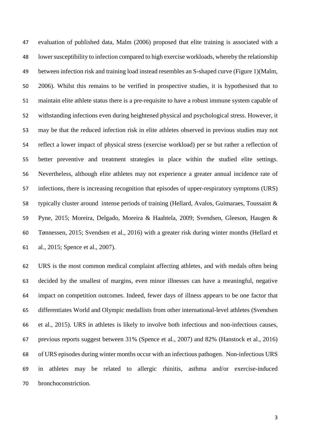evaluation of published data, Malm (2006) proposed that elite training is associated with a lower susceptibility to infection compared to high exercise workloads, whereby the relationship between infection risk and training load instead resembles an S-shaped curve (Figure 1)(Malm, 2006). Whilst this remains to be verified in prospective studies, it is hypothesised that to maintain elite athlete status there is a pre-requisite to have a robust immune system capable of withstanding infections even during heightened physical and psychological stress. However, it may be that the reduced infection risk in elite athletes observed in previous studies may not reflect a lower impact of physical stress (exercise workload) per se but rather a reflection of better preventive and treatment strategies in place within the studied elite settings. Nevertheless, although elite athletes may not experience a greater annual incidence rate of infections, there is increasing recognition that episodes of upper-respiratory symptoms (URS) typically cluster around intense periods of training (Hellard, Avalos, Guimaraes, Toussaint & Pyne, 2015; Moreira, Delgado, Moreira & Haahtela, 2009; Svendsen, Gleeson, Haugen & Tønnessen, 2015; Svendsen et al., 2016) with a greater risk during winter months (Hellard et al., 2015; Spence et al., 2007).

 URS is the most common medical complaint affecting athletes, and with medals often being decided by the smallest of margins, even minor illnesses can have a meaningful, negative impact on competition outcomes. Indeed, fewer days of illness appears to be one factor that differentiates World and Olympic medallists from other international-level athletes (Svendsen et al., 2015). URS in athletes is likely to involve both infectious and non-infectious causes, previous reports suggest between 31% (Spence et al., 2007) and 82% (Hanstock et al., 2016) of URS episodes during winter months occur with an infectious pathogen. Non-infectious URS in athletes may be related to allergic rhinitis, asthma and/or exercise-induced bronchoconstriction.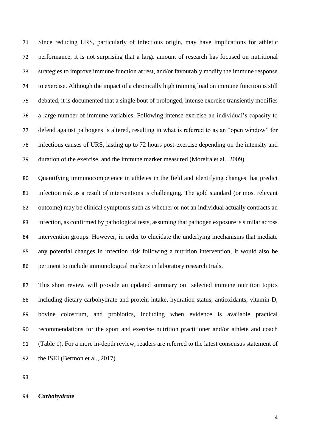Since reducing URS, particularly of infectious origin, may have implications for athletic performance, it is not surprising that a large amount of research has focused on nutritional strategies to improve immune function at rest, and/or favourably modify the immune response to exercise. Although the impact of a chronically high training load on immune function is still debated, it is documented that a single bout of prolonged, intense exercise transiently modifies a large number of immune variables. Following intense exercise an individual's capacity to defend against pathogens is altered, resulting in what is referred to as an "open window" for infectious causes of URS, lasting up to 72 hours post-exercise depending on the intensity and duration of the exercise, and the immune marker measured (Moreira et al., 2009).

 Quantifying immunocompetence in athletes in the field and identifying changes that predict infection risk as a result of interventions is challenging. The gold standard (or most relevant outcome) may be clinical symptoms such as whether or not an individual actually contracts an infection, as confirmed by pathological tests, assuming that pathogen exposure is similar across intervention groups. However, in order to elucidate the underlying mechanisms that mediate any potential changes in infection risk following a nutrition intervention, it would also be pertinent to include immunological markers in laboratory research trials.

 This short review will provide an updated summary on selected immune nutrition topics including dietary carbohydrate and protein intake, hydration status, antioxidants, vitamin D, bovine colostrum, and probiotics, including when evidence is available practical recommendations for the sport and exercise nutrition practitioner and/or athlete and coach (Table 1). For a more in-depth review, readers are referred to the latest consensus statement of the ISEI (Bermon et al., 2017).

#### *Carbohydrate*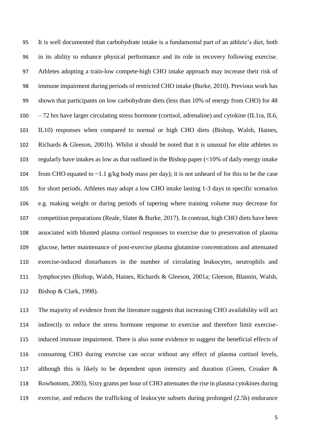It is well documented that carbohydrate intake is a fundamental part of an athlete's diet, both in its ability to enhance physical performance and its role in recovery following exercise. Athletes adopting a train-low compete-high CHO intake approach may increase their risk of immune impairment during periods of restricted CHO intake (Burke, 2010). Previous work has shown that participants on low carbohydrate diets (less than 10% of energy from CHO) for 48 – 72 hrs have larger circulating stress hormone (cortisol, adrenaline) and cytokine (IL1ra, IL6, IL10) responses when compared to normal or high CHO diets (Bishop, Walsh, Haines, Richards & Gleeson, 2001b). Whilst it should be noted that it is unusual for elite athletes to regularly have intakes as low as that outlined in the Bishop paper (<10% of daily energy intake 104 from CHO equated to  $\sim$ 1.1 g/kg body mass per day); it is not unheard of for this to be the case for short periods. Athletes may adopt a low CHO intake lasting 1-3 days in specific scenarios e.g. making weight or during periods of tapering where training volume may decrease for competition preparations (Reale, Slater & Burke, 2017). In contrast, high CHO diets have been associated with blunted plasma cortisol responses to exercise due to preservation of plasma glucose, better maintenance of post-exercise plasma glutamine concentrations and attenuated exercise-induced disturbances in the number of circulating leukocytes, neutrophils and lymphocytes (Bishop, Walsh, Haines, Richards & Gleeson, 2001a; Gleeson, Blannin, Walsh, Bishop & Clark, 1998).

 The majority of evidence from the literature suggests that increasing CHO availability will act indirectly to reduce the stress hormone response to exercise and therefore limit exercise- induced immune impairment. There is also some evidence to suggest the beneficial effects of consuming CHO during exercise can occur without any effect of plasma cortisol levels, although this is likely to be dependent upon intensity and duration (Green, Croaker & Rowbottom, 2003). Sixty grams per hour of CHO attenuates the rise in plasma cytokines during exercise, and reduces the trafficking of leukocyte subsets during prolonged (2.5h) endurance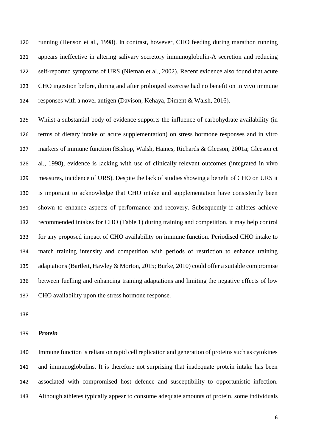running (Henson et al., 1998). In contrast, however, CHO feeding during marathon running appears ineffective in altering salivary secretory immunoglobulin-A secretion and reducing self-reported symptoms of URS (Nieman et al., 2002). Recent evidence also found that acute CHO ingestion before, during and after prolonged exercise had no benefit on in vivo immune responses with a novel antigen (Davison, Kehaya, Diment & Walsh, 2016).

 Whilst a substantial body of evidence supports the influence of carbohydrate availability (in terms of dietary intake or acute supplementation) on stress hormone responses and in vitro markers of immune function (Bishop, Walsh, Haines, Richards & Gleeson, 2001a; Gleeson et al., 1998), evidence is lacking with use of clinically relevant outcomes (integrated in vivo measures, incidence of URS). Despite the lack of studies showing a benefit of CHO on URS it is important to acknowledge that CHO intake and supplementation have consistently been shown to enhance aspects of performance and recovery. Subsequently if athletes achieve recommended intakes for CHO (Table 1) during training and competition, it may help control for any proposed impact of CHO availability on immune function. Periodised CHO intake to match training intensity and competition with periods of restriction to enhance training adaptations (Bartlett, Hawley & Morton, 2015; Burke, 2010) could offer a suitable compromise between fuelling and enhancing training adaptations and limiting the negative effects of low CHO availability upon the stress hormone response.

### *Protein*

 Immune function is reliant on rapid cell replication and generation of proteins such as cytokines and immunoglobulins. It is therefore not surprising that inadequate protein intake has been associated with compromised host defence and susceptibility to opportunistic infection. Although athletes typically appear to consume adequate amounts of protein, some individuals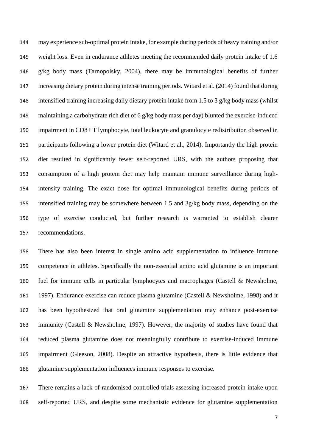may experience sub-optimal protein intake, for example during periods of heavy training and/or weight loss. Even in endurance athletes meeting the recommended daily protein intake of 1.6 g/kg body mass (Tarnopolsky, 2004), there may be immunological benefits of further increasing dietary protein during intense training periods. Witard et al. (2014) found that during intensified training increasing daily dietary protein intake from 1.5 to 3 g/kg body mass (whilst maintaining a carbohydrate rich diet of 6 g/kg body mass per day) blunted the exercise-induced impairment in CD8+ T lymphocyte, total leukocyte and granulocyte redistribution observed in participants following a lower protein diet (Witard et al., 2014). Importantly the high protein diet resulted in significantly fewer self-reported URS, with the authors proposing that consumption of a high protein diet may help maintain immune surveillance during high- intensity training. The exact dose for optimal immunological benefits during periods of intensified training may be somewhere between 1.5 and 3g/kg body mass, depending on the type of exercise conducted, but further research is warranted to establish clearer recommendations.

 There has also been interest in single amino acid supplementation to influence immune competence in athletes. Specifically the non-essential amino acid glutamine is an important fuel for immune cells in particular lymphocytes and macrophages (Castell & Newsholme, 1997). Endurance exercise can reduce plasma glutamine (Castell & Newsholme, 1998) and it has been hypothesized that oral glutamine supplementation may enhance post-exercise immunity (Castell & Newsholme, 1997). However, the majority of studies have found that reduced plasma glutamine does not meaningfully contribute to exercise-induced immune impairment (Gleeson, 2008). Despite an attractive hypothesis, there is little evidence that glutamine supplementation influences immune responses to exercise.

 There remains a lack of randomised controlled trials assessing increased protein intake upon self-reported URS, and despite some mechanistic evidence for glutamine supplementation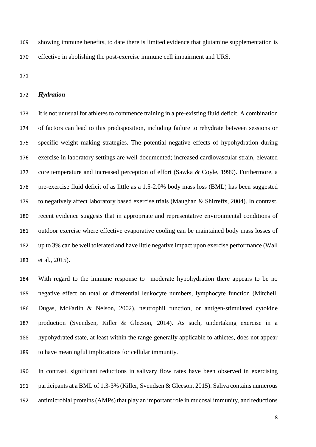showing immune benefits, to date there is limited evidence that glutamine supplementation is effective in abolishing the post-exercise immune cell impairment and URS.

#### *Hydration*

 It is not unusual for athletes to commence training in a pre-existing fluid deficit. A combination of factors can lead to this predisposition, including failure to rehydrate between sessions or specific weight making strategies. The potential negative effects of hypohydration during exercise in laboratory settings are well documented; increased cardiovascular strain, elevated core temperature and increased perception of effort (Sawka & Coyle, 1999). Furthermore, a pre-exercise fluid deficit of as little as a 1.5-2.0% body mass loss (BML) has been suggested to negatively affect laboratory based exercise trials (Maughan & Shirreffs, 2004). In contrast, recent evidence suggests that in appropriate and representative environmental conditions of outdoor exercise where effective evaporative cooling can be maintained body mass losses of up to 3% can be well tolerated and have little negative impact upon exercise performance (Wall et al., 2015).

 With regard to the immune response to moderate hypohydration there appears to be no negative effect on total or differential leukocyte numbers, lymphocyte function (Mitchell, Dugas, McFarlin & Nelson, 2002), neutrophil function, or antigen-stimulated cytokine production (Svendsen, Killer & Gleeson, 2014). As such, undertaking exercise in a hypohydrated state, at least within the range generally applicable to athletes, does not appear to have meaningful implications for cellular immunity.

 In contrast, significant reductions in salivary flow rates have been observed in exercising participants at a BML of 1.3-3% (Killer, Svendsen & Gleeson, 2015). Saliva contains numerous antimicrobial proteins (AMPs) that play an important role in mucosal immunity, and reductions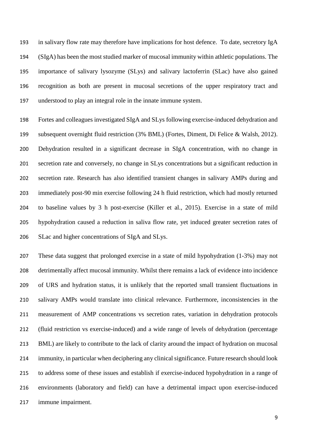in salivary flow rate may therefore have implications for host defence. To date, secretory IgA (SIgA) has been the most studied marker of mucosal immunity within athletic populations. The importance of salivary lysozyme (SLys) and salivary lactoferrin (SLac) have also gained recognition as both are present in mucosal secretions of the upper respiratory tract and understood to play an integral role in the innate immune system.

 Fortes and colleagues investigated SIgA and SLys following exercise-induced dehydration and subsequent overnight fluid restriction (3% BML) (Fortes, Diment, Di Felice & Walsh, 2012). Dehydration resulted in a significant decrease in SIgA concentration, with no change in secretion rate and conversely, no change in SLys concentrations but a significant reduction in secretion rate. Research has also identified transient changes in salivary AMPs during and immediately post-90 min exercise following 24 h fluid restriction, which had mostly returned to baseline values by 3 h post-exercise (Killer et al., 2015). Exercise in a state of mild hypohydration caused a reduction in saliva flow rate, yet induced greater secretion rates of SLac and higher concentrations of SIgA and SLys.

 These data suggest that prolonged exercise in a state of mild hypohydration (1-3%) may not detrimentally affect mucosal immunity. Whilst there remains a lack of evidence into incidence of URS and hydration status, it is unlikely that the reported small transient fluctuations in salivary AMPs would translate into clinical relevance. Furthermore, inconsistencies in the measurement of AMP concentrations vs secretion rates, variation in dehydration protocols (fluid restriction vs exercise-induced) and a wide range of levels of dehydration (percentage BML) are likely to contribute to the lack of clarity around the impact of hydration on mucosal immunity, in particular when deciphering any clinical significance. Future research should look to address some of these issues and establish if exercise-induced hypohydration in a range of environments (laboratory and field) can have a detrimental impact upon exercise-induced immune impairment.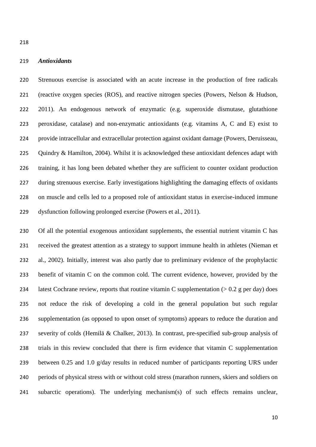# *Antioxidants*

 Strenuous exercise is associated with an acute increase in the production of free radicals (reactive oxygen species (ROS), and reactive nitrogen species (Powers, Nelson & Hudson, 2011). An endogenous network of enzymatic (e.g. superoxide dismutase, glutathione peroxidase, catalase) and non-enzymatic antioxidants (e.g. vitamins A, C and E) exist to provide intracellular and extracellular protection against oxidant damage (Powers, Deruisseau, 225 Quindry & Hamilton, 2004). Whilst it is acknowledged these antioxidant defences adapt with training, it has long been debated whether they are sufficient to counter oxidant production during strenuous exercise. Early investigations highlighting the damaging effects of oxidants on muscle and cells led to a proposed role of antioxidant status in exercise-induced immune dysfunction following prolonged exercise (Powers et al., 2011).

 Of all the potential exogenous antioxidant supplements, the essential nutrient vitamin C has received the greatest attention as a strategy to support immune health in athletes (Nieman et al., 2002). Initially, interest was also partly due to preliminary evidence of the prophylactic benefit of vitamin C on the common cold. The current evidence, however, provided by the 234 latest Cochrane review, reports that routine vitamin C supplementation  $(> 0.2 \text{ g per day})$  does not reduce the risk of developing a cold in the general population but such regular supplementation (as opposed to upon onset of symptoms) appears to reduce the duration and severity of colds (Hemilä & Chalker, 2013). In contrast, pre-specified sub-group analysis of trials in this review concluded that there is firm evidence that vitamin C supplementation between 0.25 and 1.0 g/day results in reduced number of participants reporting URS under periods of physical stress with or without cold stress (marathon runners, skiers and soldiers on subarctic operations). The underlying mechanism(s) of such effects remains unclear,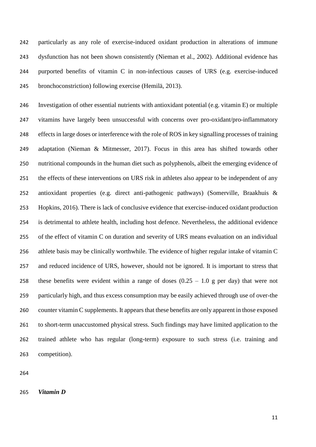particularly as any role of exercise-induced oxidant production in alterations of immune dysfunction has not been shown consistently (Nieman et al., 2002). Additional evidence has purported benefits of vitamin C in non-infectious causes of URS (e.g. exercise-induced bronchoconstriction) following exercise (Hemilä, 2013).

 Investigation of other essential nutrients with antioxidant potential (e.g. vitamin E) or multiple vitamins have largely been unsuccessful with concerns over pro-oxidant/pro-inflammatory effects in large doses or interference with the role of ROS in key signalling processes of training adaptation (Nieman & Mitmesser, 2017). Focus in this area has shifted towards other nutritional compounds in the human diet such as polyphenols, albeit the emerging evidence of the effects of these interventions on URS risk in athletes also appear to be independent of any antioxidant properties (e.g. direct anti-pathogenic pathways) (Somerville, Braakhuis & Hopkins, 2016). There is lack of conclusive evidence that exercise-induced oxidant production is detrimental to athlete health, including host defence. Nevertheless, the additional evidence of the effect of vitamin C on duration and severity of URS means evaluation on an individual athlete basis may be clinically worthwhile. The evidence of higher regular intake of vitamin C and reduced incidence of URS, however, should not be ignored. It is important to stress that 258 these benefits were evident within a range of doses  $(0.25 - 1.0)$  g per day) that were not particularly high, and thus excess consumption may be easily achieved through use of over-the counter vitamin C supplements. It appears that these benefits are only apparent in those exposed to short-term unaccustomed physical stress. Such findings may have limited application to the trained athlete who has regular (long-term) exposure to such stress (i.e. training and competition).

*Vitamin D*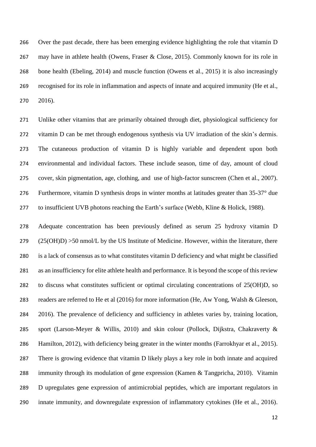Over the past decade, there has been emerging evidence highlighting the role that vitamin D may have in athlete health (Owens, Fraser & Close, 2015). Commonly known for its role in bone health (Ebeling, 2014) and muscle function (Owens et al., 2015) it is also increasingly recognised for its role in inflammation and aspects of innate and acquired immunity (He et al., 2016).

 Unlike other vitamins that are primarily obtained through diet, physiological sufficiency for vitamin D can be met through endogenous synthesis via UV irradiation of the skin's dermis. The cutaneous production of vitamin D is highly variable and dependent upon both environmental and individual factors. These include season, time of day, amount of cloud cover, skin pigmentation, age, clothing, and use of high-factor sunscreen (Chen et al., 2007). Furthermore, vitamin D synthesis drops in winter months at latitudes greater than 35-37° due to insufficient UVB photons reaching the Earth's surface (Webb, Kline & Holick, 1988).

 Adequate concentration has been previously defined as serum 25 hydroxy vitamin D  $(25(OH)D) > 50$  nmol/L by the US Institute of Medicine. However, within the literature, there is a lack of consensus as to what constitutes vitamin D deficiency and what might be classified as an insufficiency for elite athlete health and performance. It is beyond the scope of this review to discuss what constitutes sufficient or optimal circulating concentrations of 25(OH)D, so readers are referred to He et al (2016) for more information (He, Aw Yong, Walsh & Gleeson, 2016). The prevalence of deficiency and sufficiency in athletes varies by, training location, sport (Larson-Meyer & Willis, 2010) and skin colour (Pollock, Dijkstra, Chakraverty & Hamilton, 2012), with deficiency being greater in the winter months (Farrokhyar et al., 2015). There is growing evidence that vitamin D likely plays a key role in both innate and acquired immunity through its modulation of gene expression (Kamen & Tangpricha, 2010). Vitamin D upregulates gene expression of antimicrobial peptides, which are important regulators in innate immunity, and downregulate expression of inflammatory cytokines (He et al., 2016).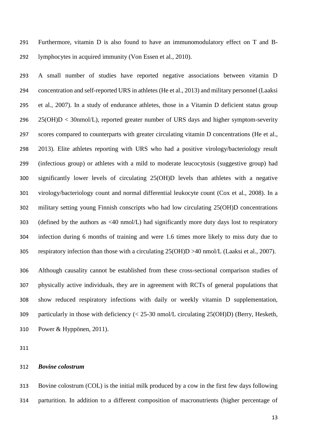Furthermore, vitamin D is also found to have an immunomodulatory effect on T and B-lymphocytes in acquired immunity (Von Essen et al., 2010).

 A small number of studies have reported negative associations between vitamin D concentration and self-reported URS in athletes (He et al., 2013) and military personnel (Laaksi et al., 2007). In a study of endurance athletes, those in a Vitamin D deficient status group 25(OH)D < 30nmol/L), reported greater number of URS days and higher symptom-severity scores compared to counterparts with greater circulating vitamin D concentrations (He et al., 2013). Elite athletes reporting with URS who had a positive virology/bacteriology result (infectious group) or athletes with a mild to moderate leucocytosis (suggestive group) had significantly lower levels of circulating 25(OH)D levels than athletes with a negative virology/bacteriology count and normal differential leukocyte count (Cox et al., 2008). In a military setting young Finnish conscripts who had low circulating 25(OH)D concentrations 303 (defined by the authors as  $\langle 40 \text{ nmol/L} \rangle$  had significantly more duty days lost to respiratory infection during 6 months of training and were 1.6 times more likely to miss duty due to respiratory infection than those with a circulating 25(OH)D >40 nmol/L (Laaksi et al., 2007).

 Although causality cannot be established from these cross-sectional comparison studies of physically active individuals, they are in agreement with RCTs of general populations that show reduced respiratory infections with daily or weekly vitamin D supplementation, particularly in those with deficiency (< 25-30 nmol/L circulating 25(OH)D) (Berry, Hesketh, Power & Hyppönen, 2011).

# *Bovine colostrum*

 Bovine colostrum (COL) is the initial milk produced by a cow in the first few days following parturition. In addition to a different composition of macronutrients (higher percentage of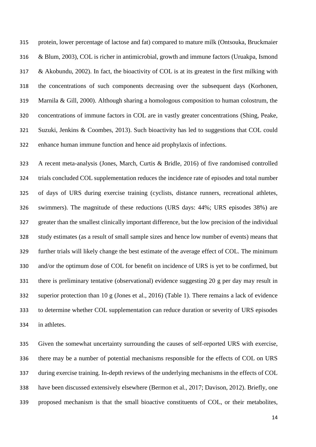protein, lower percentage of lactose and fat) compared to mature milk (Ontsouka, Bruckmaier & Blum, 2003), COL is richer in antimicrobial, growth and immune factors (Uruakpa, Ismond & Akobundu, 2002). In fact, the bioactivity of COL is at its greatest in the first milking with the concentrations of such components decreasing over the subsequent days (Korhonen, Marnila & Gill, 2000). Although sharing a homologous composition to human colostrum, the concentrations of immune factors in COL are in vastly greater concentrations (Shing, Peake, Suzuki, Jenkins & Coombes, 2013). Such bioactivity has led to suggestions that COL could enhance human immune function and hence aid prophylaxis of infections.

 A recent meta-analysis (Jones, March, Curtis & Bridle, 2016) of five randomised controlled trials concluded COL supplementation reduces the incidence rate of episodes and total number of days of URS during exercise training (cyclists, distance runners, recreational athletes, swimmers). The magnitude of these reductions (URS days: 44%; URS episodes 38%) are greater than the smallest clinically important difference, but the low precision of the individual study estimates (as a result of small sample sizes and hence low number of events) means that further trials will likely change the best estimate of the average effect of COL. The minimum and/or the optimum dose of COL for benefit on incidence of URS is yet to be confirmed, but there is preliminary tentative (observational) evidence suggesting 20 g per day may result in superior protection than 10 g (Jones et al., 2016) (Table 1). There remains a lack of evidence to determine whether COL supplementation can reduce duration or severity of URS episodes in athletes.

 Given the somewhat uncertainty surrounding the causes of self-reported URS with exercise, there may be a number of potential mechanisms responsible for the effects of COL on URS during exercise training. In-depth reviews of the underlying mechanisms in the effects of COL have been discussed extensively elsewhere (Bermon et al., 2017; Davison, 2012). Briefly, one proposed mechanism is that the small bioactive constituents of COL, or their metabolites,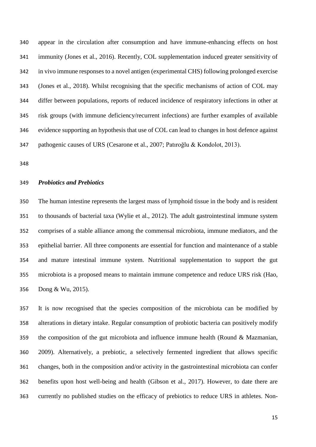appear in the circulation after consumption and have immune-enhancing effects on host immunity (Jones et al., 2016). Recently, COL supplementation induced greater sensitivity of in vivo immune responses to a novel antigen (experimental CHS) following prolonged exercise (Jones et al., 2018). Whilst recognising that the specific mechanisms of action of COL may differ between populations, reports of reduced incidence of respiratory infections in other at risk groups (with immune deficiency/recurrent infections) are further examples of available evidence supporting an hypothesis that use of COL can lead to changes in host defence against pathogenic causes of URS (Cesarone et al., 2007; Patıroğlu & Kondolot, 2013).

#### *Probiotics and Prebiotics*

 The human intestine represents the largest mass of lymphoid tissue in the body and is resident to thousands of bacterial taxa (Wylie et al., 2012). The adult gastrointestinal immune system comprises of a stable alliance among the commensal microbiota, immune mediators, and the epithelial barrier. All three components are essential for function and maintenance of a stable and mature intestinal immune system. Nutritional supplementation to support the gut microbiota is a proposed means to maintain immune competence and reduce URS risk (Hao, Dong & Wu, 2015).

 It is now recognised that the species composition of the microbiota can be modified by alterations in dietary intake. Regular consumption of probiotic bacteria can positively modify the composition of the gut microbiota and influence immune health (Round & Mazmanian, 2009). Alternatively, a prebiotic, a selectively fermented ingredient that allows specific changes, both in the composition and/or activity in the gastrointestinal microbiota can confer benefits upon host well-being and health (Gibson et al., 2017). However, to date there are currently no published studies on the efficacy of prebiotics to reduce URS in athletes. Non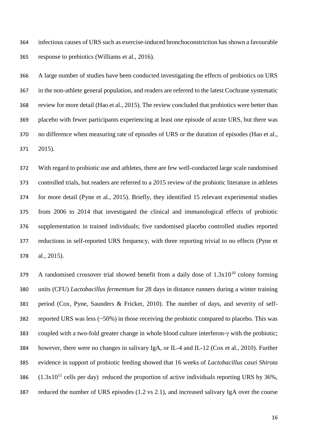infectious causes of URS such as exercise-induced bronchoconstriction has shown a favourable response to prebiotics (Williams et al., 2016).

 A large number of studies have been conducted investigating the effects of probiotics on URS in the non-athlete general population, and readers are referred to the latest Cochrane systematic review for more detail (Hao et al., 2015). The review concluded that probiotics were better than placebo with fewer participants experiencing at least one episode of acute URS, but there was no difference when measuring rate of episodes of URS or the duration of episodes (Hao et al., 2015).

 With regard to probiotic use and athletes, there are few well-conducted large scale randomised controlled trials, but readers are referred to a 2015 review of the probiotic literature in athletes for more detail (Pyne et al., 2015). Briefly, they identified 15 relevant experimental studies from 2006 to 2014 that investigated the clinical and immunological effects of probiotic supplementation in trained individuals; five randomised placebo controlled studies reported reductions in self-reported URS frequency, with three reporting trivial to no effects (Pyne et al., 2015).

379 A randomised crossover trial showed benefit from a daily dose of  $1.3x10^{10}$  colony forming units (CFU) *Lactobacillus fermentum* for 28 days in distance runners during a winter training period (Cox, Pyne, Saunders & Fricker, 2010). The number of days, and severity of self- reported URS was less (~50%) in those receiving the probiotic compared to placebo. This was coupled with a two-fold greater change in whole blood culture interferon-γ with the probiotic; however, there were no changes in salivary IgA, or IL-4 and IL-12 (Cox et al., 2010). Further evidence in support of probiotic feeding showed that 16 weeks of *Lactobacillus casei Shirota*  $(1.3x10^{11}$  cells per day) reduced the proportion of active individuals reporting URS by 36%, reduced the number of URS episodes (1.2 vs 2.1), and increased salivary IgA over the course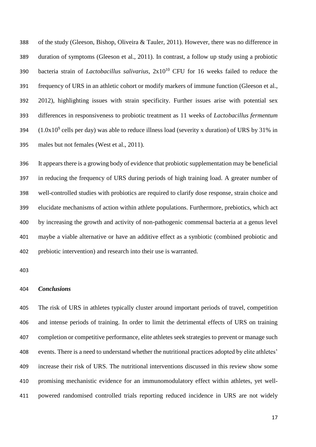of the study (Gleeson, Bishop, Oliveira & Tauler, 2011). However, there was no difference in duration of symptoms (Gleeson et al., 2011). In contrast, a follow up study using a probiotic 390 bacteria strain of *Lactobacillus salivarius*,  $2x10^{10}$  CFU for 16 weeks failed to reduce the frequency of URS in an athletic cohort or modify markers of immune function (Gleeson et al., 2012), highlighting issues with strain specificity. Further issues arise with potential sex differences in responsiveness to probiotic treatment as 11 weeks of *Lactobacillus fermentum*  $(1.0x10<sup>9</sup>$  cells per day) was able to reduce illness load (severity x duration) of URS by 31% in males but not females (West et al., 2011).

 It appears there is a growing body of evidence that probiotic supplementation may be beneficial in reducing the frequency of URS during periods of high training load. A greater number of well-controlled studies with probiotics are required to clarify dose response, strain choice and elucidate mechanisms of action within athlete populations. Furthermore, prebiotics, which act by increasing the growth and activity of non-pathogenic commensal bacteria at a genus level maybe a viable alternative or have an additive effect as a synbiotic (combined probiotic and prebiotic intervention) and research into their use is warranted.

# *Conclusions*

 The risk of URS in athletes typically cluster around important periods of travel, competition and intense periods of training. In order to limit the detrimental effects of URS on training completion or competitive performance, elite athletes seek strategies to prevent or manage such events. There is a need to understand whether the nutritional practices adopted by elite athletes' increase their risk of URS. The nutritional interventions discussed in this review show some promising mechanistic evidence for an immunomodulatory effect within athletes, yet well-powered randomised controlled trials reporting reduced incidence in URS are not widely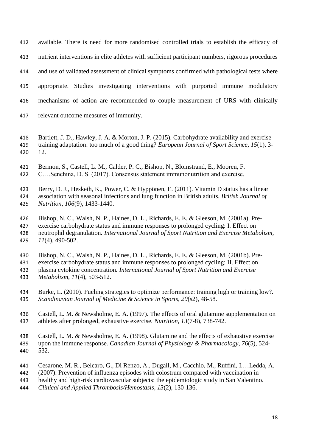available. There is need for more randomised controlled trials to establish the efficacy of nutrient interventions in elite athletes with sufficient participant numbers, rigorous procedures and use of validated assessment of clinical symptoms confirmed with pathological tests where appropriate. Studies investigating interventions with purported immune modulatory mechanisms of action are recommended to couple measurement of URS with clinically relevant outcome measures of immunity.

- Bartlett, J. D., Hawley, J. A. & Morton, J. P. (2015). Carbohydrate availability and exercise training adaptation: too much of a good thing? *European Journal of Sport Science, 15*(1), 3- 12.
- Bermon, S., Castell, L. M., Calder, P. C., Bishop, N., Blomstrand, E., Mooren, F.
- C.…Senchina, D. S. (2017). Consensus statement immunonutrition and exercise.

 Berry, D. J., Hesketh, K., Power, C. & Hyppönen, E. (2011). Vitamin D status has a linear association with seasonal infections and lung function in British adults*. British Journal of Nutrition, 106*(9), 1433-1440.

Bishop, N. C., Walsh, N. P., Haines, D. L., Richards, E. E. & Gleeson, M. (2001a). Pre-

 exercise carbohydrate status and immune responses to prolonged cycling: I. Effect on neutrophil degranulation*. International Journal of Sport Nutrition and Exercise Metabolism, 11*(4), 490-502.

Bishop, N. C., Walsh, N. P., Haines, D. L., Richards, E. E. & Gleeson, M. (2001b). Pre-

exercise carbohydrate status and immune responses to prolonged cycling: II. Effect on

- plasma cytokine concentration*. International Journal of Sport Nutrition and Exercise*
- *Metabolism, 11*(4), 503-512.
- Burke, L. (2010). Fueling strategies to optimize performance: training high or training low?*. Scandinavian Journal of Medicine & Science in Sports, 20*(s2), 48-58.
- Castell, L. M. & Newsholme, E. A. (1997). The effects of oral glutamine supplementation on athletes after prolonged, exhaustive exercise*. Nutrition, 13*(7-8), 738-742.
- Castell, L. M. & Newsholme, E. A. (1998). Glutamine and the effects of exhaustive exercise
- upon the immune response*. Canadian Journal of Physiology & Pharmacology, 76*(5), 524- 532.
- Cesarone, M. R., Belcaro, G., Di Renzo, A., Dugall, M., Cacchio, M., Ruffini, I.…Ledda, A.
- (2007). Prevention of influenza episodes with colostrum compared with vaccination in
- healthy and high-risk cardiovascular subjects: the epidemiologic study in San Valentino*.*
- *Clinical and Applied Thrombosis/Hemostasis, 13*(2), 130-136.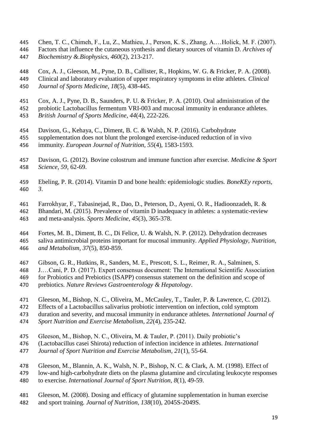- Chen, T. C., Chimeh, F., Lu, Z., Mathieu, J., Person, K. S., Zhang, A.…Holick, M. F. (2007).
- Factors that influence the cutaneous synthesis and dietary sources of vitamin D*. Archives of*
- *Biochemistry &.Biophysics, 460*(2), 213-217.

 Cox, A. J., Gleeson, M., Pyne, D. B., Callister, R., Hopkins, W. G. & Fricker, P. A. (2008). Clinical and laboratory evaluation of upper respiratory symptoms in elite athletes*. Clinical Journal of Sports Medicine, 18*(5), 438-445.

- Cox, A. J., Pyne, D. B., Saunders, P. U. & Fricker, P. A. (2010). Oral administration of the
- probiotic Lactobacillus fermentum VRI-003 and mucosal immunity in endurance athletes*. British Journal of Sports Medicine, 44*(4), 222-226.
- Davison, G., Kehaya, C., Diment, B. C. & Walsh, N. P. (2016). Carbohydrate
- supplementation does not blunt the prolonged exercise-induced reduction of in vivo immunity*. European Journal of Nutrition, 55*(4), 1583-1593.
- Davison, G. (2012). Bovine colostrum and immune function after exercise*. Medicine & Sport Science, 59*, 62-69.
- Ebeling, P. R. (2014). Vitamin D and bone health: epidemiologic studies*. BoneKEy reports, 3*.
- Farrokhyar, F., Tabasinejad, R., Dao, D., Peterson, D., Ayeni, O. R., Hadioonzadeh, R. &
- Bhandari, M. (2015). Prevalence of vitamin D inadequacy in athletes: a systematic-review and meta-analysis*. Sports Medicine, 45*(3), 365-378.
- Fortes, M. B., Diment, B. C., Di Felice, U. & Walsh, N. P. (2012). Dehydration decreases saliva antimicrobial proteins important for mucosal immunity*. Applied Physiology, Nutrition,*
- *and Metabolism, 37*(5), 850-859.
- Gibson, G. R., Hutkins, R., Sanders, M. E., Prescott, S. L., Reimer, R. A., Salminen, S.
- J.…Cani, P. D. (2017). Expert consensus document: The International Scientific Association for Probiotics and Prebiotics (ISAPP) consensus statement on the definition and scope of
- prebiotics*. Nature Reviews Gastroenterology & Hepatology*.
- Gleeson, M., Bishop, N. C., Oliveira, M., McCauley, T., Tauler, P. & Lawrence, C. (2012).
- Effects of a Lactobacillus salivarius probiotic intervention on infection, cold symptom
- duration and severity, and mucosal immunity in endurance athletes*. International Journal of Sport Nutrition and Exercise Metabolism, 22*(4), 235-242.
- Gleeson, M., Bishop, N. C., Oliveira, M. & Tauler, P. (2011). Daily probiotic's
- (Lactobacillus casei Shirota) reduction of infection incidence in athletes*. International*
- *Journal of Sport Nutrition and Exercise Metabolism, 21*(1), 55-64.
- Gleeson, M., Blannin, A. K., Walsh, N. P., Bishop, N. C. & Clark, A. M. (1998). Effect of
- low-and high-carbohydrate diets on the plasma glutamine and circulating leukocyte responses to exercise*. International Journal of Sport Nutrition, 8*(1), 49-59.
- Gleeson, M. (2008). Dosing and efficacy of glutamine supplementation in human exercise
- and sport training*. Journal of Nutrition, 138*(10), 2045S-2049S.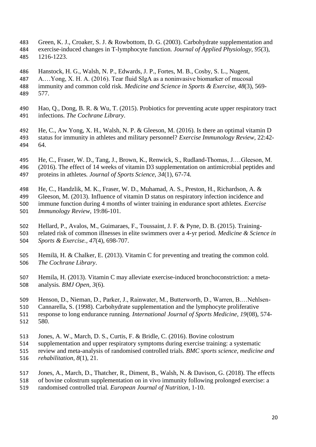- Green, K. J., Croaker, S. J. & Rowbottom, D. G. (2003). Carbohydrate supplementation and exercise-induced changes in T-lymphocyte function*. Journal of Applied Physiology, 95*(3), 1216-1223.
- Hanstock, H. G., Walsh, N. P., Edwards, J. P., Fortes, M. B., Cosby, S. L., Nugent,
- A.…Yong, X. H. A. (2016). Tear fluid SIgA as a noninvasive biomarker of mucosal
- immunity and common cold risk*. Medicine and Science in Sports & Exercise, 48*(3), 569- 577.
- Hao, Q., Dong, B. R. & Wu, T. (2015). Probiotics for preventing acute upper respiratory tract infections*. The Cochrane Library*.
- He, C., Aw Yong, X. H., Walsh, N. P. & Gleeson, M. (2016). Is there an optimal vitamin D status for immunity in athletes and military personnel? *Exercise Immunology Review*, 22:42- 64.
- He, C., Fraser, W. D., Tang, J., Brown, K., Renwick, S., Rudland-Thomas, J.…Gleeson, M.
- (2016). The effect of 14 weeks of vitamin D3 supplementation on antimicrobial peptides and
- proteins in athletes*. Journal of Sports Science, 34*(1), 67-74.
- He, C., Handzlik, M. K., Fraser, W. D., Muhamad, A. S., Preston, H., Richardson, A. &
- Gleeson, M. (2013). Influence of vitamin D status on respiratory infection incidence and immune function during 4 months of winter training in endurance sport athletes. *Exercise Immunology Review*, 19:86-101.
- Hellard, P., Avalos, M., Guimaraes, F., Toussaint, J. F. & Pyne, D. B. (2015). Training-
- related risk of common illnesses in elite swimmers over a 4-yr period*. Medicine & Science in Sports & Exercise., 47*(4), 698-707.
- Hemilä, H. & Chalker, E. (2013). Vitamin C for preventing and treating the common cold*. The Cochrane Library*.
- Hemila, H. (2013). Vitamin C may alleviate exercise-induced bronchoconstriction: a meta-analysis*. BMJ Open, 3*(6).
- Henson, D., Nieman, D., Parker, J., Rainwater, M., Butterworth, D., Warren, B.…Nehlsen-
- Cannarella, S. (1998). Carbohydrate supplementation and the lymphocyte proliferative
- response to long endurance running*. International Journal of Sports Medicine, 19*(08), 574- 580.
- Jones, A. W., March, D. S., Curtis, F. & Bridle, C. (2016). Bovine colostrum
- supplementation and upper respiratory symptoms during exercise training: a systematic
- review and meta-analysis of randomised controlled trials*. BMC sports science, medicine and rehabilitation, 8*(1), 21.
- Jones, A., March, D., Thatcher, R., Diment, B., Walsh, N. & Davison, G. (2018). The effects
- of bovine colostrum supplementation on in vivo immunity following prolonged exercise: a
- randomised controlled trial*. European Journal of Nutrition,* 1-10.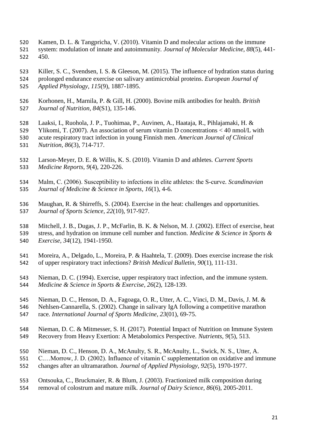- Kamen, D. L. & Tangpricha, V. (2010). Vitamin D and molecular actions on the immune
- system: modulation of innate and autoimmunity*. Journal of Molecular Medicine, 88*(5), 441- 450.
- Killer, S. C., Svendsen, I. S. & Gleeson, M. (2015). The influence of hydration status during prolonged endurance exercise on salivary antimicrobial proteins*. European Journal of*
- *Applied Physiology, 115*(9), 1887-1895.
- Korhonen, H., Marnila, P. & Gill, H. (2000). Bovine milk antibodies for health*. British Journal of Nutrition, 84*(S1), 135-146.
- Laaksi, I., Ruohola, J. P., Tuohimaa, P., Auvinen, A., Haataja, R., Pihlajamaki, H. & Ylikomi, T. (2007). An association of serum vitamin D concentrations < 40 nmol/L with acute respiratory tract infection in young Finnish men*. American Journal of Clinical*
- *Nutrition, 86*(3), 714-717.
- Larson-Meyer, D. E. & Willis, K. S. (2010). Vitamin D and athletes*. Current Sports Medicine Reports, 9*(4), 220-226.
- Malm, C. (2006). Susceptibility to infections in elite athletes: the S‐curve*. Scandinavian Journal of Medicine & Science in Sports, 16*(1), 4-6.
- Maughan, R. & Shirreffs, S. (2004). Exercise in the heat: challenges and opportunities*. Journal of Sports Science, 22*(10), 917-927.
- Mitchell, J. B., Dugas, J. P., McFarlin, B. K. & Nelson, M. J. (2002). Effect of exercise, heat stress, and hydration on immune cell number and function*. Medicine & Science in Sports & Exercise, 34*(12), 1941-1950.
- Moreira, A., Delgado, L., Moreira, P. & Haahtela, T. (2009). Does exercise increase the risk of upper respiratory tract infections? *British Medical Bulletin, 90*(1), 111-131.
- Nieman, D. C. (1994). Exercise, upper respiratory tract infection, and the immune system*. Medicine & Science in Sports & Exercise, 26*(2), 128-139.
- Nieman, D. C., Henson, D. A., Fagoaga, O. R., Utter, A. C., Vinci, D. M., Davis, J. M. &
- Nehlsen-Cannarella, S. (2002). Change in salivary IgA following a competitive marathon race*. International Journal of Sports Medicine, 23*(01), 69-75.
- Nieman, D. C. & Mitmesser, S. H. (2017). Potential Impact of Nutrition on Immune System Recovery from Heavy Exertion: A Metabolomics Perspective*. Nutrients, 9*(5), 513.
- Nieman, D. C., Henson, D. A., McAnulty, S. R., McAnulty, L., Swick, N. S., Utter, A.
- C.…Morrow, J. D. (2002). Influence of vitamin C supplementation on oxidative and immune
- changes after an ultramarathon*. Journal of Applied Physiology, 92*(5), 1970-1977.
- Ontsouka, C., Bruckmaier, R. & Blum, J. (2003). Fractionized milk composition during
- removal of colostrum and mature milk*. Journal of Dairy Science, 86*(6), 2005-2011.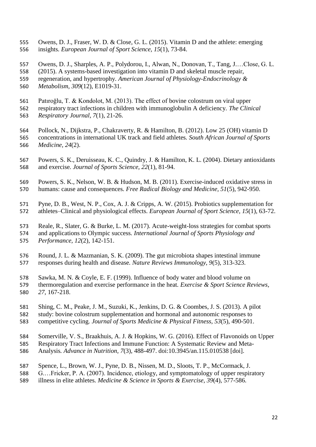- Owens, D. J., Fraser, W. D. & Close, G. L. (2015). Vitamin D and the athlete: emerging insights*. European Journal of Sport Science, 15*(1), 73-84.
- Owens, D. J., Sharples, A. P., Polydorou, I., Alwan, N., Donovan, T., Tang, J.…Close, G. L.
- (2015). A systems-based investigation into vitamin D and skeletal muscle repair,
- regeneration, and hypertrophy*. American Journal of Physiology-Endocrinology & Metabolism, 309*(12), E1019-31.
- Patıroğlu, T. & Kondolot, M. (2013). The effect of bovine colostrum on viral upper
- respiratory tract infections in children with immunoglobulin A deficiency*. The Clinical Respiratory Journal, 7*(1), 21-26.
- Pollock, N., Dijkstra, P., Chakraverty, R. & Hamilton, B. (2012). Low 25 (OH) vitamin D concentrations in international UK track and field athletes*. South African Journal of Sports Medicine, 24*(2).
- Powers, S. K., Deruisseau, K. C., Quindry, J. & Hamilton, K. L. (2004). Dietary antioxidants and exercise*. Journal of Sports Science, 22*(1), 81-94.
- Powers, S. K., Nelson, W. B. & Hudson, M. B. (2011). Exercise-induced oxidative stress in humans: cause and consequences*. Free Radical Biology and Medicine, 51*(5), 942-950.
- Pyne, D. B., West, N. P., Cox, A. J. & Cripps, A. W. (2015). Probiotics supplementation for athletes–Clinical and physiological effects*. European Journal of Sport Science, 15*(1), 63-72.
- Reale, R., Slater, G. & Burke, L. M. (2017). Acute-weight-loss strategies for combat sports and applications to Olympic success*. International Journal of Sports Physiology and*
- *Performance, 12*(2), 142-151.
- Round, J. L. & Mazmanian, S. K. (2009). The gut microbiota shapes intestinal immune responses during health and disease*. Nature Reviews Immunology, 9*(5), 313-323.
- Sawka, M. N. & Coyle, E. F. (1999). Influence of body water and blood volume on thermoregulation and exercise performance in the heat*. Exercise & Sport Science Reviews, 27*, 167-218.
- Shing, C. M., Peake, J. M., Suzuki, K., Jenkins, D. G. & Coombes, J. S. (2013). A pilot
- study: bovine colostrum supplementation and hormonal and autonomic responses to
- competitive cycling*. Journal of Sports Medicine & Physical Fitness, 53*(5), 490-501.
- Somerville, V. S., Braakhuis, A. J. & Hopkins, W. G. (2016). Effect of Flavonoids on Upper
- Respiratory Tract Infections and Immune Function: A Systematic Review and Meta-
- Analysis*. Advance in Nutrition, 7*(3), 488-497. doi:10.3945/an.115.010538 [doi].
- Spence, L., Brown, W. J., Pyne, D. B., Nissen, M. D., Sloots, T. P., McCormack, J.
- G.…Fricker, P. A. (2007). Incidence, etiology, and symptomatology of upper respiratory
- illness in elite athletes*. Medicine & Science in Sports & Exercise, 39*(4), 577-586.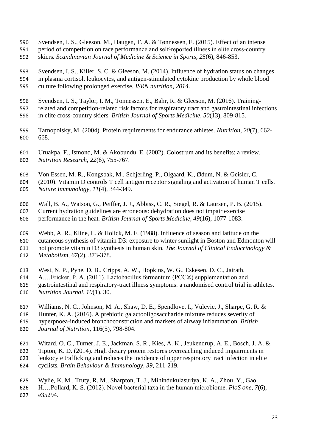- Svendsen, I. S., Gleeson, M., Haugen, T. A. & Tønnessen, E. (2015). Effect of an intense
- 591 period of competition on race performance and self-reported illness in elite cross-country
- skiers*. Scandinavian Journal of Medicine & Science in Sports, 25*(6), 846-853.
- Svendsen, I. S., Killer, S. C. & Gleeson, M. (2014). Influence of hydration status on changes in plasma cortisol, leukocytes, and antigen-stimulated cytokine production by whole blood culture following prolonged exercise*. ISRN nutrition, 2014*.
- Svendsen, I. S., Taylor, I. M., Tonnessen, E., Bahr, R. & Gleeson, M. (2016). Training-
- related and competition-related risk factors for respiratory tract and gastrointestinal infections in elite cross-country skiers*. British Journal of Sports Medicine, 50*(13), 809-815.
- 
- Tarnopolsky, M. (2004). Protein requirements for endurance athletes*. Nutrition, 20*(7), 662- 668.
- Uruakpa, F., Ismond, M. & Akobundu, E. (2002). Colostrum and its benefits: a review*. Nutrition Research, 22*(6), 755-767.
- Von Essen, M. R., Kongsbak, M., Schjerling, P., Olgaard, K., Ødum, N. & Geisler, C.
- (2010). Vitamin D controls T cell antigen receptor signaling and activation of human T cells*. Nature Immunology, 11*(4), 344-349.
- Wall, B. A., Watson, G., Peiffer, J. J., Abbiss, C. R., Siegel, R. & Laursen, P. B. (2015).
- Current hydration guidelines are erroneous: dehydration does not impair exercise
- performance in the heat*. British Journal of Sports Medicine, 49*(16), 1077-1083.
- Webb, A. R., Kline, L. & Holick, M. F. (1988). Influence of season and latitude on the
- cutaneous synthesis of vitamin D3: exposure to winter sunlight in Boston and Edmonton will
- not promote vitamin D3 synthesis in human skin*. The Journal of Clinical Endocrinology &*
- *Metabolism, 67*(2), 373-378.
- West, N. P., Pyne, D. B., Cripps, A. W., Hopkins, W. G., Eskesen, D. C., Jairath,
- A.…Fricker, P. A. (2011). Lactobacillus fermentum (PCC®) supplementation and
- gastrointestinal and respiratory-tract illness symptoms: a randomised control trial in athletes*.*
- *Nutrition Journal, 10*(1), 30.
- Williams, N. C., Johnson, M. A., Shaw, D. E., Spendlove, I., Vulevic, J., Sharpe, G. R. &
- Hunter, K. A. (2016). A prebiotic galactooligosaccharide mixture reduces severity of
- hyperpnoea-induced bronchoconstriction and markers of airway inflammation*. British*
- *Journal of Nutrition*, 116(5), 798-804.
- Witard, O. C., Turner, J. E., Jackman, S. R., Kies, A. K., Jeukendrup, A. E., Bosch, J. A. &
- Tipton, K. D. (2014). High dietary protein restores overreaching induced impairments in
- leukocyte trafficking and reduces the incidence of upper respiratory tract infection in elite
- cyclists*. Brain Behaviour & Immunology, 39*, 211-219.
- Wylie, K. M., Truty, R. M., Sharpton, T. J., Mihindukulasuriya, K. A., Zhou, Y., Gao,
- H.…Pollard, K. S. (2012). Novel bacterial taxa in the human microbiome*. PloS one, 7*(6), e35294.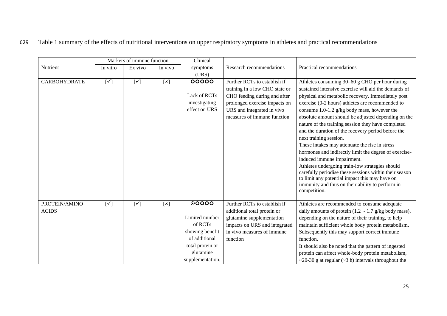|                               | Markers of immune function |                | Clinical                  |                                                                                                                                    |                                                                                                                                                                                              |                                                                                                                                                                                                                                                                                                                                                                                                                                                                                                                                                                                                                                                                                                                                                                                                                                         |
|-------------------------------|----------------------------|----------------|---------------------------|------------------------------------------------------------------------------------------------------------------------------------|----------------------------------------------------------------------------------------------------------------------------------------------------------------------------------------------|-----------------------------------------------------------------------------------------------------------------------------------------------------------------------------------------------------------------------------------------------------------------------------------------------------------------------------------------------------------------------------------------------------------------------------------------------------------------------------------------------------------------------------------------------------------------------------------------------------------------------------------------------------------------------------------------------------------------------------------------------------------------------------------------------------------------------------------------|
| Nutrient                      | In vitro                   | Ex vivo        | In vivo                   | symptoms<br>(URS)                                                                                                                  | Research recommendations                                                                                                                                                                     | Practical recommendations                                                                                                                                                                                                                                                                                                                                                                                                                                                                                                                                                                                                                                                                                                                                                                                                               |
| <b>CARBOHYDRATE</b>           | $[\checkmark]$             | $[\checkmark]$ | [x]                       | 00000<br>Lack of RCTs<br>investigating<br>effect on URS                                                                            | Further RCTs to establish if<br>training in a low CHO state or<br>CHO feeding during and after<br>prolonged exercise impacts on<br>URS and integrated in vivo<br>measures of immune function | Athletes consuming 30–60 g CHO per hour during<br>sustained intensive exercise will aid the demands of<br>physical and metabolic recovery. Immediately post<br>exercise (0-2 hours) athletes are recommended to<br>consume 1.0-1.2 g/kg body mass, however the<br>absolute amount should be adjusted depending on the<br>nature of the training session they have completed<br>and the duration of the recovery period before the<br>next training session.<br>These intakes may attenuate the rise in stress<br>hormones and indirectly limit the degree of exercise-<br>induced immune impairment.<br>Athletes undergoing train-low strategies should<br>carefully periodise these sessions within their season<br>to limit any potential impact this may have on<br>immunity and thus on their ability to perform in<br>competition. |
| PROTEIN/AMINO<br><b>ACIDS</b> | $[\checkmark]$             | $[\checkmark]$ | $\left[\mathbf{x}\right]$ | $\odot$ 0000<br>Limited number<br>of RCTs<br>showing benefit<br>of additional<br>total protein or<br>glutamine<br>supplementation. | Further RCTs to establish if<br>additional total protein or<br>glutamine supplementation<br>impacts on URS and integrated<br>in vivo measures of immune<br>function                          | Athletes are recommended to consume adequate<br>daily amounts of protein $(1.2 - 1.7)$ g/kg body mass),<br>depending on the nature of their training, to help<br>maintain sufficient whole body protein metabolism.<br>Subsequently this may support correct immune<br>function.<br>It should also be noted that the pattern of ingested<br>protein can affect whole-body protein metabolism,<br>~20-30 g at regular (~3 h) intervals throughout the                                                                                                                                                                                                                                                                                                                                                                                    |

629 Table 1 summary of the effects of nutritional interventions on upper respiratory symptoms in athletes and practical recommendations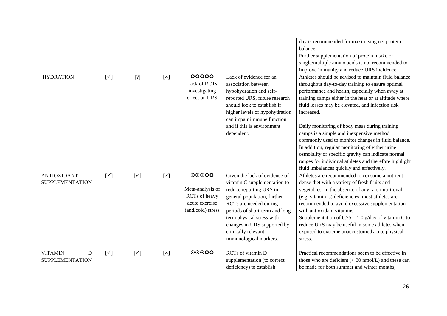|                                               |                |                |                |                                                                                                                  |                                                                                                                                                                                                                                                                                                   | day is recommended for maximising net protein<br>balance.<br>Further supplementation of protein intake or                                                                                                                                                                                                                                                                                                                                                                                     |
|-----------------------------------------------|----------------|----------------|----------------|------------------------------------------------------------------------------------------------------------------|---------------------------------------------------------------------------------------------------------------------------------------------------------------------------------------------------------------------------------------------------------------------------------------------------|-----------------------------------------------------------------------------------------------------------------------------------------------------------------------------------------------------------------------------------------------------------------------------------------------------------------------------------------------------------------------------------------------------------------------------------------------------------------------------------------------|
|                                               |                |                |                |                                                                                                                  |                                                                                                                                                                                                                                                                                                   | single/multiple amino acids is not recommended to<br>improve immunity and reduce URS incidence.                                                                                                                                                                                                                                                                                                                                                                                               |
| <b>HYDRATION</b>                              | $[\checkmark]$ | $[?]$          | $\mathbf{[x]}$ | 00000<br>Lack of RCTs<br>investigating<br>effect on URS                                                          | Lack of evidence for an<br>association between<br>hypohydration and self-<br>reported URS, future research<br>should look to establish if<br>higher levels of hypohydration<br>can impair immune function<br>and if this is environment<br>dependent.                                             | Athletes should be advised to maintain fluid balance<br>throughout day-to-day training to ensure optimal<br>performance and health, especially when away at<br>training camps either in the heat or at altitude where<br>fluid losses may be elevated, and infection risk<br>increased.<br>Daily monitoring of body mass during training<br>camps is a simple and inexpensive method<br>commonly used to monitor changes in fluid balance.<br>In addition, regular monitoring of either urine |
|                                               |                |                |                |                                                                                                                  |                                                                                                                                                                                                                                                                                                   | osmolality or specific gravity can indicate normal<br>ranges for individual athletes and therefore highlight<br>fluid imbalances quickly and effectively.                                                                                                                                                                                                                                                                                                                                     |
| <b>ANTIOXIDANT</b><br><b>SUPPLEMENTATION</b>  | $[\checkmark]$ | $[\checkmark]$ | $\mathbf{[x]}$ | $\overline{\odot\odot\odot\text{O}}$<br>Meta-analysis of<br>RCTs of heavy<br>acute exercise<br>(and/cold) stress | Given the lack of evidence of<br>vitamin C supplementation to<br>reduce reporting URS in<br>general population, further<br>RCTs are needed during<br>periods of short-term and long-<br>term physical stress with<br>changes in URS supported by<br>clinically relevant<br>immunological markers. | Athletes are recommended to consume a nutrient-<br>dense diet with a variety of fresh fruits and<br>vegetables. In the absence of any rare nutritional<br>(e.g. vitamin C) deficiencies, most athletes are<br>recommended to avoid excessive supplementation<br>with antioxidant vitamins.<br>Supplementation of $0.25 - 1.0$ g/day of vitamin C to<br>reduce URS may be useful in some athletes when<br>exposed to extreme unaccustomed acute physical<br>stress.                            |
| <b>VITAMIN</b><br>D<br><b>SUPPLEMENTATION</b> | $[\checkmark]$ | $[\checkmark]$ | $\mathbf{[x]}$ | $\odot\odot\odot\rm{O}$                                                                                          | <b>RCTs</b> of vitamin D<br>supplementation (to correct<br>deficiency) to establish                                                                                                                                                                                                               | Practical recommendations seem to be effective in<br>those who are deficient $(< 30$ nmol/L) and these can<br>be made for both summer and winter months,                                                                                                                                                                                                                                                                                                                                      |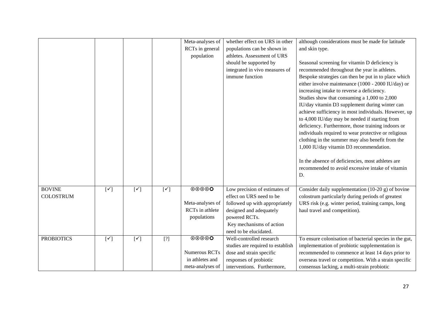|                   |                |                |                                                                                                                                                                                                                                                                                                                                                                                                | Meta-analyses of          | whether effect on URS in other    | although considerations must be made for latitude       |
|-------------------|----------------|----------------|------------------------------------------------------------------------------------------------------------------------------------------------------------------------------------------------------------------------------------------------------------------------------------------------------------------------------------------------------------------------------------------------|---------------------------|-----------------------------------|---------------------------------------------------------|
|                   |                |                |                                                                                                                                                                                                                                                                                                                                                                                                | RCTs in general           | populations can be shown in       | and skin type.                                          |
|                   |                |                |                                                                                                                                                                                                                                                                                                                                                                                                | population                | athletes. Assessment of URS       |                                                         |
|                   |                |                |                                                                                                                                                                                                                                                                                                                                                                                                |                           | should be supported by            | Seasonal screening for vitamin D deficiency is          |
|                   |                |                |                                                                                                                                                                                                                                                                                                                                                                                                |                           | integrated in vivo measures of    | recommended throughout the year in athletes.            |
|                   |                |                |                                                                                                                                                                                                                                                                                                                                                                                                |                           | immune function                   | Bespoke strategies can then be put in to place which    |
|                   |                |                |                                                                                                                                                                                                                                                                                                                                                                                                |                           |                                   | either involve maintenance (1000 - 2000 IU/day) or      |
|                   |                |                |                                                                                                                                                                                                                                                                                                                                                                                                |                           |                                   | increasing intake to reverse a deficiency.              |
|                   |                |                |                                                                                                                                                                                                                                                                                                                                                                                                |                           |                                   | Studies show that consuming a 1,000 to 2,000            |
|                   |                |                |                                                                                                                                                                                                                                                                                                                                                                                                |                           |                                   | IU/day vitamin D3 supplement during winter can          |
|                   |                |                |                                                                                                                                                                                                                                                                                                                                                                                                |                           |                                   | achieve sufficiency in most individuals. However, up    |
|                   |                |                |                                                                                                                                                                                                                                                                                                                                                                                                |                           |                                   | to 4,000 IU/day may be needed if starting from          |
|                   |                |                |                                                                                                                                                                                                                                                                                                                                                                                                |                           |                                   | deficiency. Furthermore, those training indoors or      |
|                   |                |                |                                                                                                                                                                                                                                                                                                                                                                                                |                           |                                   | individuals required to wear protective or religious    |
|                   |                |                |                                                                                                                                                                                                                                                                                                                                                                                                |                           |                                   | clothing in the summer may also benefit from the        |
|                   |                |                |                                                                                                                                                                                                                                                                                                                                                                                                |                           |                                   | 1,000 IU/day vitamin D3 recommendation.                 |
|                   |                |                |                                                                                                                                                                                                                                                                                                                                                                                                |                           |                                   | In the absence of deficiencies, most athletes are       |
|                   |                |                |                                                                                                                                                                                                                                                                                                                                                                                                |                           |                                   | recommended to avoid excessive intake of vitamin        |
|                   |                |                |                                                                                                                                                                                                                                                                                                                                                                                                |                           |                                   | D.                                                      |
|                   |                |                |                                                                                                                                                                                                                                                                                                                                                                                                |                           |                                   |                                                         |
| <b>BOVINE</b>     | $[\checkmark]$ | $[\checkmark]$ | $[\checkmark]$                                                                                                                                                                                                                                                                                                                                                                                 | $\odot\odot\odot\text{o}$ | Low precision of estimates of     | Consider daily supplementation (10-20 g) of bovine      |
| <b>COLOSTRUM</b>  |                |                |                                                                                                                                                                                                                                                                                                                                                                                                |                           | effect on URS need to be          | colostrum particularly during periods of greatest       |
|                   |                |                |                                                                                                                                                                                                                                                                                                                                                                                                | Meta-analyses of          | followed up with appropriately    | URS risk (e.g. winter period, training camps, long      |
|                   |                |                |                                                                                                                                                                                                                                                                                                                                                                                                | RCTs in athlete           | designed and adequately           | haul travel and competition).                           |
|                   |                |                |                                                                                                                                                                                                                                                                                                                                                                                                | populations               | powered RCTs.                     |                                                         |
|                   |                |                |                                                                                                                                                                                                                                                                                                                                                                                                |                           | Key mechanisms of action          |                                                         |
|                   |                |                |                                                                                                                                                                                                                                                                                                                                                                                                |                           | need to be elucidated.            |                                                         |
| <b>PROBIOTICS</b> | $[\checkmark]$ | $[\checkmark]$ | $[?] % \begin{subfigure}[t]{0.45\textwidth} \includegraphics[width=\textwidth]{figures/fig_10.pdf} \caption{The 3D (left) and 4D (right) are shown in the left and right.} \label{fig:2} \end{subfigure} \begin{subfigure}[t]{0.45\textwidth} \includegraphics[width=\textwidth]{figures/fig_2b} \caption{The 4D (right) and the 4D (right) are shown in the right and right.} \label{fig:2b}$ | $\odot\odot\odot\bullet$  | Well-controlled research          | To ensure colonisation of bacterial species in the gut, |
|                   |                |                |                                                                                                                                                                                                                                                                                                                                                                                                |                           | studies are required to establish | implementation of probiotic supplementation is          |
|                   |                |                |                                                                                                                                                                                                                                                                                                                                                                                                | <b>Numerous RCTs</b>      | dose and strain specific          | recommended to commence at least 14 days prior to       |
|                   |                |                |                                                                                                                                                                                                                                                                                                                                                                                                | in athletes and           | responses of probiotic            | overseas travel or competition. With a strain specific  |
|                   |                |                |                                                                                                                                                                                                                                                                                                                                                                                                | meta-analyses of          | interventions. Furthermore,       | consensus lacking, a multi-strain probiotic             |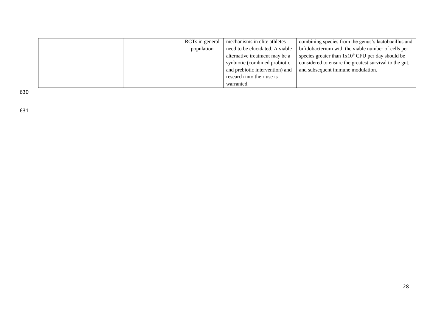|  |  | RCTs in general | mechanisms in elite athletes    | combining species from the genus's lactobacillus and   |
|--|--|-----------------|---------------------------------|--------------------------------------------------------|
|  |  | population      | need to be elucidated. A viable | bifidobacterium with the viable number of cells per    |
|  |  |                 | alternative treatment may be a  | species greater than $1x10^9$ CFU per day should be    |
|  |  |                 | synbiotic (combined probiotic   | considered to ensure the greatest survival to the gut, |
|  |  |                 | and prebiotic intervention) and | and subsequent immune modulation.                      |
|  |  |                 | research into their use is      |                                                        |
|  |  |                 | warranted.                      |                                                        |

631